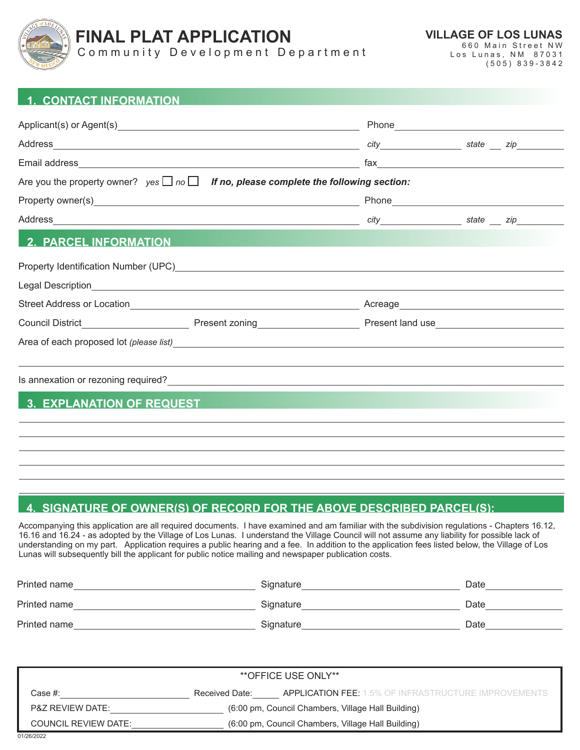

Community Development Department

**VILLAGE OF LOS LUNAS**

660 Main Street NW Los Lunas, NM 87031 (505) 839-3842

# **1. CONTACT INFORMATION**

|                                                                                                                                                                                                                                        | $\begin{picture}(180,10) \put(0,0){\vector(1,0){100}} \put(15,0){\vector(1,0){100}} \put(15,0){\vector(1,0){100}} \put(15,0){\vector(1,0){100}} \put(15,0){\vector(1,0){100}} \put(15,0){\vector(1,0){100}} \put(15,0){\vector(1,0){100}} \put(15,0){\vector(1,0){100}} \put(15,0){\vector(1,0){100}} \put(15,0){\vector(1,0){100}} \put(15,0){\vector(1,0){100}}$ |  |
|----------------------------------------------------------------------------------------------------------------------------------------------------------------------------------------------------------------------------------------|--------------------------------------------------------------------------------------------------------------------------------------------------------------------------------------------------------------------------------------------------------------------------------------------------------------------------------------------------------------------|--|
| Are you the property owner? $yes \Box no \Box$ If no, please complete the following section:                                                                                                                                           |                                                                                                                                                                                                                                                                                                                                                                    |  |
|                                                                                                                                                                                                                                        |                                                                                                                                                                                                                                                                                                                                                                    |  |
|                                                                                                                                                                                                                                        |                                                                                                                                                                                                                                                                                                                                                                    |  |
| <b>2. PARCEL INFORMATION AND RESIDENCE IN A SERVICE OF A SERVICE OF A SERVICE OF A SERVICE OF A SERVICE OF A SER</b>                                                                                                                   |                                                                                                                                                                                                                                                                                                                                                                    |  |
|                                                                                                                                                                                                                                        |                                                                                                                                                                                                                                                                                                                                                                    |  |
|                                                                                                                                                                                                                                        |                                                                                                                                                                                                                                                                                                                                                                    |  |
|                                                                                                                                                                                                                                        |                                                                                                                                                                                                                                                                                                                                                                    |  |
|                                                                                                                                                                                                                                        |                                                                                                                                                                                                                                                                                                                                                                    |  |
| Area of each proposed lot (please list) expression of the state of the state of the state of the state of the state of the state of the state of the state of the state of the state of the state of the state of the state of         |                                                                                                                                                                                                                                                                                                                                                                    |  |
|                                                                                                                                                                                                                                        |                                                                                                                                                                                                                                                                                                                                                                    |  |
| Is annexation or rezoning required?<br><u> and the contract of the contract of the contract of the contract of the contract of the contract of the contract of the contract of the contract of the contract of the contract of the</u> |                                                                                                                                                                                                                                                                                                                                                                    |  |
| 3. EXPLANATION OF REQUEST AND RESIDENCE IN A SERIES OF REGISTRATION OF REQUEST                                                                                                                                                         |                                                                                                                                                                                                                                                                                                                                                                    |  |
|                                                                                                                                                                                                                                        |                                                                                                                                                                                                                                                                                                                                                                    |  |
|                                                                                                                                                                                                                                        |                                                                                                                                                                                                                                                                                                                                                                    |  |
|                                                                                                                                                                                                                                        |                                                                                                                                                                                                                                                                                                                                                                    |  |

## **4. SIGNATURE OF OWNER(S) OF RECORD FOR THE ABOVE DESCRIBED PARCEL(S):**

Accompanying this application are all required documents. I have examined and am familiar with the subdivision regulations - Chapters 16.12, 16.16 and 16.24 - as adopted by the Village of Los Lunas. I understand the Village Council will not assume any liability for possible lack of understanding on my part. Application requires a public hearing and a fee. In addition to the application fees listed below, the Village of Los Lunas will subsequently bill the applicant for public notice mailing and newspaper publication costs.

| Printed name | Signature | Date |
|--------------|-----------|------|
| Printed name | Signature | Date |
| Printed name | Signature | Date |

| **OFFICE USE ONLY**                                                               |                                                    |                                                             |  |  |  |
|-----------------------------------------------------------------------------------|----------------------------------------------------|-------------------------------------------------------------|--|--|--|
|                                                                                   |                                                    |                                                             |  |  |  |
| Case #:                                                                           | Received Date:                                     | <b>APPLICATION FEE:</b> 1.5% OF INFRASTRUCTURE IMPROVEMENTS |  |  |  |
| (6:00 pm, Council Chambers, Village Hall Building)<br><b>P&amp;Z REVIEW DATE:</b> |                                                    |                                                             |  |  |  |
| <b>COUNCIL REVIEW DATE:</b>                                                       | (6:00 pm, Council Chambers, Village Hall Building) |                                                             |  |  |  |
|                                                                                   |                                                    |                                                             |  |  |  |